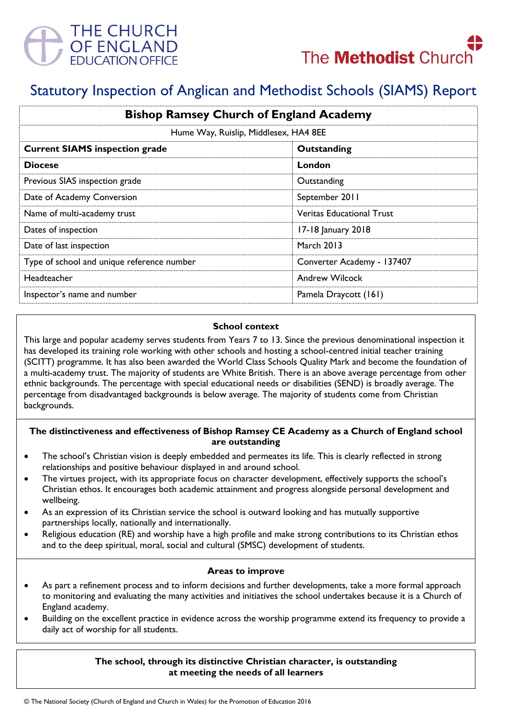



# Statutory Inspection of Anglican and Methodist Schools (SIAMS) Report

| <b>Bishop Ramsey Church of England Academy</b> |                                  |
|------------------------------------------------|----------------------------------|
| Hume Way, Ruislip, Middlesex, HA4 8EE          |                                  |
| <b>Current SIAMS inspection grade</b>          | Outstanding                      |
| <b>Diocese</b>                                 | London                           |
| Previous SIAS inspection grade                 | Outstanding                      |
| Date of Academy Conversion                     | September 2011                   |
| Name of multi-academy trust                    | <b>Veritas Educational Trust</b> |
| Dates of inspection                            | 17-18 January 2018               |
| Date of last inspection                        | <b>March 2013</b>                |
| Type of school and unique reference number     | Converter Academy - 137407       |
| Headteacher                                    | <b>Andrew Wilcock</b>            |
| Inspector's name and number                    | Pamela Draycott (161)            |

#### **School context**

This large and popular academy serves students from Years 7 to 13. Since the previous denominational inspection it has developed its training role working with other schools and hosting a school-centred initial teacher training (SCITT) programme. It has also been awarded the World Class Schools Quality Mark and become the foundation of a multi-academy trust. The majority of students are White British. There is an above average percentage from other ethnic backgrounds. The percentage with special educational needs or disabilities (SEND) is broadly average. The percentage from disadvantaged backgrounds is below average. The majority of students come from Christian backgrounds.

# **The distinctiveness and effectiveness of Bishop Ramsey CE Academy as a Church of England school are outstanding**

- The school's Christian vision is deeply embedded and permeates its life. This is clearly reflected in strong relationships and positive behaviour displayed in and around school.
- The virtues project, with its appropriate focus on character development, effectively supports the school's Christian ethos. It encourages both academic attainment and progress alongside personal development and wellbeing.
- As an expression of its Christian service the school is outward looking and has mutually supportive partnerships locally, nationally and internationally.
- Religious education (RE) and worship have a high profile and make strong contributions to its Christian ethos and to the deep spiritual, moral, social and cultural (SMSC) development of students.

#### **Areas to improve**

- As part a refinement process and to inform decisions and further developments, take a more formal approach to monitoring and evaluating the many activities and initiatives the school undertakes because it is a Church of England academy.
- Building on the excellent practice in evidence across the worship programme extend its frequency to provide a daily act of worship for all students.

## **The school, through its distinctive Christian character, is outstanding at meeting the needs of all learners**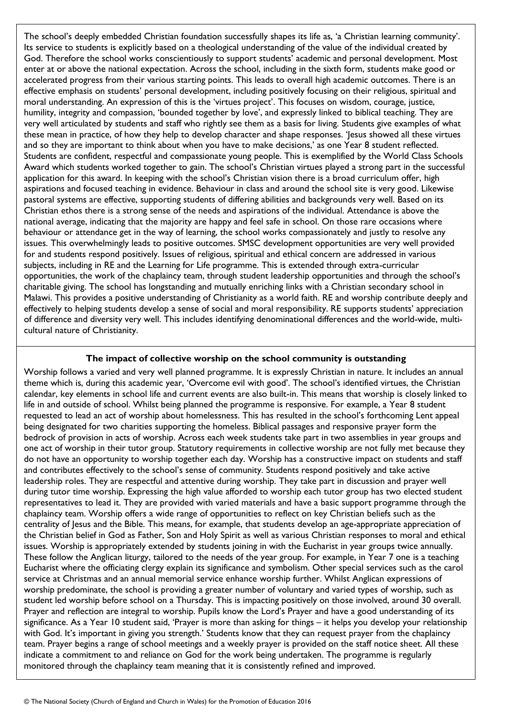The school's deeply embedded Christian foundation successfully shapes its life as, 'a Christian learning community'. Its service to students is explicitly based on a theological understanding of the value of the individual created by God. Therefore the school works conscientiously to support students' academic and personal development. Most enter at or above the national expectation. Across the school, including in the sixth form, students make good or accelerated progress from their various starting points. This leads to overall high academic outcomes. There is an effective emphasis on students' personal development, including positively focusing on their religious, spiritual and moral understanding. An expression of this is the 'virtues project'. This focuses on wisdom, courage, justice, humility, integrity and compassion, 'bounded together by love', and expressly linked to biblical teaching. They are very well articulated by students and staff who rightly see them as a basis for living. Students give examples of what these mean in practice, of how they help to develop character and shape responses. 'Jesus showed all these virtues and so they are important to think about when you have to make decisions,' as one Year 8 student reflected. Students are confident, respectful and compassionate young people. This is exemplified by the World Class Schools Award which students worked together to gain. The school's Christian virtues played a strong part in the successful application for this award. In keeping with the school's Christian vision there is a broad curriculum offer, high aspirations and focused teaching in evidence. Behaviour in class and around the school site is very good. Likewise pastoral systems are effective, supporting students of differing abilities and backgrounds very well. Based on its Christian ethos there is a strong sense of the needs and aspirations of the individual. Attendance is above the national average, indicating that the majority are happy and feel safe in school. On those rare occasions where behaviour or attendance get in the way of learning, the school works compassionately and justly to resolve any issues. This overwhelmingly leads to positive outcomes. SMSC development opportunities are very well provided for and students respond positively. Issues of religious, spiritual and ethical concern are addressed in various subjects, including in RE and the Learning for Life programme. This is extended through extra-curricular opportunities, the work of the chaplaincy team, through student leadership opportunities and through the school's charitable giving. The school has longstanding and mutually enriching links with a Christian secondary school in Malawi. This provides a positive understanding of Christianity as a world faith. RE and worship contribute deeply and effectively to helping students develop a sense of social and moral responsibility. RE supports students' appreciation of difference and diversity very well. This includes identifying denominational differences and the world-wide, multicultural nature of Christianity.

## **The impact of collective worship on the school community is outstanding**

Worship follows a varied and very well planned programme. It is expressly Christian in nature. It includes an annual theme which is, during this academic year, 'Overcome evil with good'. The school's identified virtues, the Christian calendar, key elements in school life and current events are also built-in. This means that worship is closely linked to life in and outside of school. Whilst being planned the programme is responsive. For example, a Year 8 student requested to lead an act of worship about homelessness. This has resulted in the school's forthcoming Lent appeal being designated for two charities supporting the homeless. Biblical passages and responsive prayer form the bedrock of provision in acts of worship. Across each week students take part in two assemblies in year groups and one act of worship in their tutor group. Statutory requirements in collective worship are not fully met because they do not have an opportunity to worship together each day. Worship has a constructive impact on students and staff and contributes effectively to the school's sense of community. Students respond positively and take active leadership roles. They are respectful and attentive during worship. They take part in discussion and prayer well during tutor time worship. Expressing the high value afforded to worship each tutor group has two elected student representatives to lead it. They are provided with varied materials and have a basic support programme through the chaplaincy team. Worship offers a wide range of opportunities to reflect on key Christian beliefs such as the centrality of Jesus and the Bible. This means, for example, that students develop an age-appropriate appreciation of the Christian belief in God as Father, Son and Holy Spirit as well as various Christian responses to moral and ethical issues. Worship is appropriately extended by students joining in with the Eucharist in year groups twice annually. These follow the Anglican liturgy, tailored to the needs of the year group. For example, in Year 7 one is a teaching Eucharist where the officiating clergy explain its significance and symbolism. Other special services such as the carol service at Christmas and an annual memorial service enhance worship further. Whilst Anglican expressions of worship predominate, the school is providing a greater number of voluntary and varied types of worship, such as student led worship before school on a Thursday. This is impacting positively on those involved, around 30 overall. Prayer and reflection are integral to worship. Pupils know the Lord's Prayer and have a good understanding of its significance. As a Year 10 student said, 'Prayer is more than asking for things – it helps you develop your relationship with God. It's important in giving you strength.' Students know that they can request prayer from the chaplaincy team. Prayer begins a range of school meetings and a weekly prayer is provided on the staff notice sheet. All these indicate a commitment to and reliance on God for the work being undertaken. The programme is regularly monitored through the chaplaincy team meaning that it is consistently refined and improved.